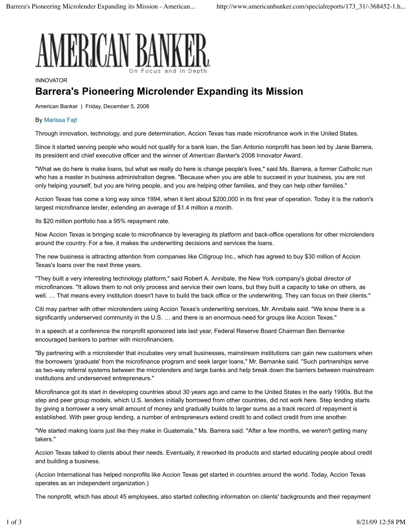

## INNOVATOR

## **Barrera's Pioneering Microlender Expanding its Mission**

American Banker | Friday, December 5, 2008

## By Marissa Fajt

Through innovation, technology, and pure determination, Accion Texas has made microfinance work in the United States.

Since it started serving people who would not qualify for a bank loan, the San Antonio nonprofit has been led by Janie Barrera, its president and chief executive officer and the winner of *American Banker*'s 2008 Innovator Award.

"What we do here is make loans, but what we really do here is change people's lives," said Ms. Barrera, a former Catholic nun who has a master in business administration degree. "Because when you are able to succeed in your business, you are not only helping yourself, but you are hiring people, and you are helping other families, and they can help other families."

Accion Texas has come a long way since 1994, when it lent about \$200,000 in its first year of operation. Today it is the nation's largest microfinance lender, extending an average of \$1.4 million a month.

Its \$20 million portfolio has a 95% repayment rate.

Now Accion Texas is bringing scale to microfinance by leveraging its platform and back-office operations for other microlenders around the country. For a fee, it makes the underwriting decisions and services the loans.

The new business is attracting attention from companies like Citigroup Inc., which has agreed to buy \$30 million of Accion Texas's loans over the next three years.

"They built a very interesting technology platform," said Robert A. Annibale, the New York company's global director of microfinances. "It allows them to not only process and service their own loans, but they built a capacity to take on others, as well. … That means every institution doesn't have to build the back office or the underwriting. They can focus on their clients."

Citi may partner with other microlenders using Accion Texas's underwriting services, Mr. Annibale said. "We know there is a significantly underserved community in the U.S. … and there is an enormous need for groups like Accion Texas."

In a speech at a conference the nonprofit sponsored late last year, Federal Reserve Board Chairman Ben Bernanke encouraged bankers to partner with microfinanciers.

"By partnering with a microlender that incubates very small businesses, mainstream institutions can gain new customers when the borrowers 'graduate' from the microfinance program and seek larger loans," Mr. Bernanke said. "Such partnerships serve as two-way referral systems between the microlenders and large banks and help break down the barriers between mainstream institutions and underserved entrepreneurs."

Microfinance got its start in developing countries about 30 years ago and came to the United States in the early 1990s. But the step and peer group models, which U.S. lenders initially borrowed from other countries, did not work here. Step lending starts by giving a borrower a very small amount of money and gradually builds to larger sums as a track record of repayment is established. With peer group lending, a number of entrepreneurs extend credit to and collect credit from one another.

"We started making loans just like they make in Guatemala," Ms. Barrera said. "After a few months, we weren't getting many takers."

Accion Texas talked to clients about their needs. Eventually, it reworked its products and started educating people about credit and building a business.

(Accion International has helped nonprofits like Accion Texas get started in countries around the world. Today, Accion Texas operates as an independent organization.)

The nonprofit, which has about 45 employees, also started collecting information on clients' backgrounds and their repayment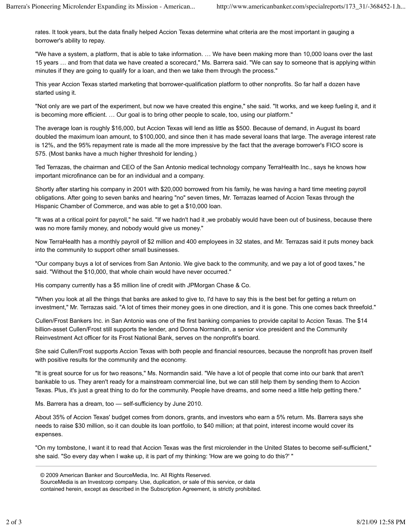rates. It took years, but the data finally helped Accion Texas determine what criteria are the most important in gauging a borrower's ability to repay.

"We have a system, a platform, that is able to take information. … We have been making more than 10,000 loans over the last 15 years … and from that data we have created a scorecard," Ms. Barrera said. "We can say to someone that is applying within minutes if they are going to qualify for a loan, and then we take them through the process."

This year Accion Texas started marketing that borrower-qualification platform to other nonprofits. So far half a dozen have started using it.

"Not only are we part of the experiment, but now we have created this engine," she said. "It works, and we keep fueling it, and it is becoming more efficient. … Our goal is to bring other people to scale, too, using our platform."

The average loan is roughly \$16,000, but Accion Texas will lend as little as \$500. Because of demand, in August its board doubled the maximum loan amount, to \$100,000, and since then it has made several loans that large. The average interest rate is 12%, and the 95% repayment rate is made all the more impressive by the fact that the average borrower's FICO score is 575. (Most banks have a much higher threshold for lending.)

Ted Terrazas, the chairman and CEO of the San Antonio medical technology company TerraHealth Inc., says he knows how important microfinance can be for an individual and a company.

Shortly after starting his company in 2001 with \$20,000 borrowed from his family, he was having a hard time meeting payroll obligations. After going to seven banks and hearing "no" seven times, Mr. Terrazas learned of Accion Texas through the Hispanic Chamber of Commerce, and was able to get a \$10,000 loan.

"It was at a critical point for payroll," he said. "If we hadn't had it ,we probably would have been out of business, because there was no more family money, and nobody would give us money."

Now TerraHealth has a monthly payroll of \$2 million and 400 employees in 32 states, and Mr. Terrazas said it puts money back into the community to support other small businesses.

"Our company buys a lot of services from San Antonio. We give back to the community, and we pay a lot of good taxes," he said. "Without the \$10,000, that whole chain would have never occurred."

His company currently has a \$5 million line of credit with JPMorgan Chase & Co.

"When you look at all the things that banks are asked to give to, I'd have to say this is the best bet for getting a return on investment," Mr. Terrazas said. "A lot of times their money goes in one direction, and it is gone. This one comes back threefold."

Cullen/Frost Bankers Inc. in San Antonio was one of the first banking companies to provide capital to Accion Texas. The \$14 billion-asset Cullen/Frost still supports the lender, and Donna Normandin, a senior vice president and the Community Reinvestment Act officer for its Frost National Bank, serves on the nonprofit's board.

She said Cullen/Frost supports Accion Texas with both people and financial resources, because the nonprofit has proven itself with positive results for the community and the economy.

"It is great source for us for two reasons," Ms. Normandin said. "We have a lot of people that come into our bank that aren't bankable to us. They aren't ready for a mainstream commercial line, but we can still help them by sending them to Accion Texas. Plus, it's just a great thing to do for the community. People have dreams, and some need a little help getting there."

Ms. Barrera has a dream, too — self-sufficiency by June 2010.

About 35% of Accion Texas' budget comes from donors, grants, and investors who earn a 5% return. Ms. Barrera says she needs to raise \$30 million, so it can double its loan portfolio, to \$40 million; at that point, interest income would cover its expenses.

"On my tombstone, I want it to read that Accion Texas was the first microlender in the United States to become self-sufficient," she said. "So every day when I wake up, it is part of my thinking: 'How are we going to do this?' "

SourceMedia is an Investcorp company. Use, duplication, or sale of this service, or data contained herein, except as described in the Subscription Agreement, is strictly prohibited.

<sup>©</sup> 2009 American Banker and SourceMedia, Inc. All Rights Reserved.